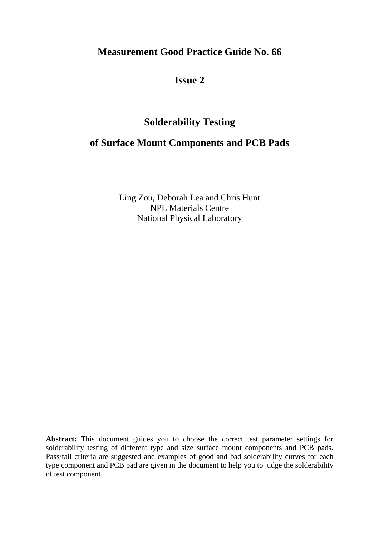# **Measurement Good Practice Guide No. 66**

**Issue 2**

# **Solderability Testing**

# **of Surface Mount Components and PCB Pads**

Ling Zou, Deborah Lea and Chris Hunt NPL Materials Centre National Physical Laboratory

**Abstract:** This document guides you to choose the correct test parameter settings for solderability testing of different type and size surface mount components and PCB pads. Pass/fail criteria are suggested and examples of good and bad solderability curves for each type component and PCB pad are given in the document to help you to judge the solderability of test component.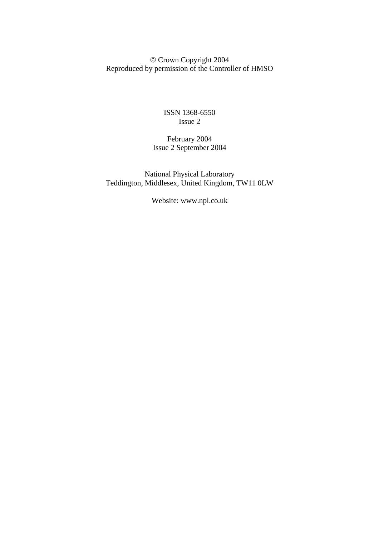© Crown Copyright 2004 Reproduced by permission of the Controller of HMSO

> ISSN 1368-6550 Issue 2

February 2004 Issue 2 September 2004

National Physical Laboratory Teddington, Middlesex, United Kingdom, TW11 0LW

Website: www.npl.co.uk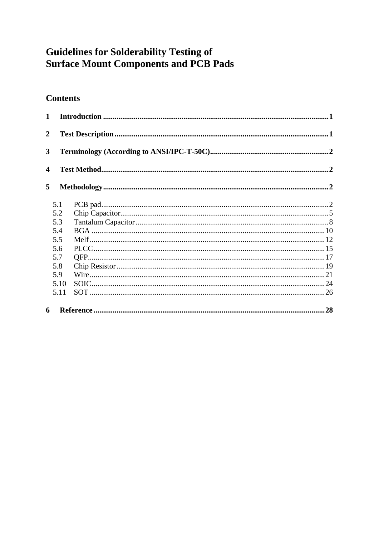# **Guidelines for Solderability Testing of Surface Mount Components and PCB Pads**

# **Contents**

| $\mathbf{1}$            |      |  |
|-------------------------|------|--|
| $\overline{2}$          |      |  |
| $\overline{\mathbf{3}}$ |      |  |
| 4                       |      |  |
| 5                       |      |  |
|                         | 5.1  |  |
|                         | 5.2  |  |
|                         | 5.3  |  |
|                         | 5.4  |  |
|                         | 5.5  |  |
|                         | 5.6  |  |
|                         | 5.7  |  |
|                         | 5.8  |  |
|                         | 5.9  |  |
|                         | 5.10 |  |
|                         | 5.11 |  |
| 6                       |      |  |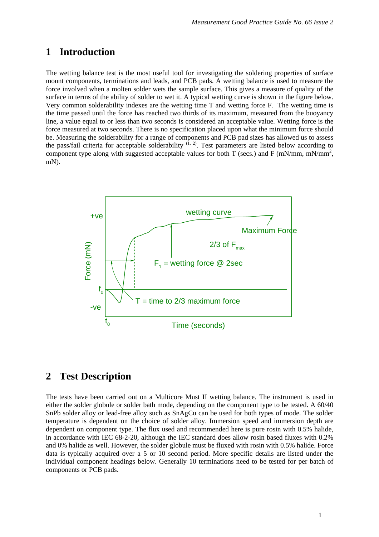# <span id="page-4-0"></span>**1 Introduction**

The wetting balance test is the most useful tool for investigating the soldering properties of surface mount components, terminations and leads, and PCB pads. A wetting balance is used to measure the force involved when a molten solder wets the sample surface. This gives a measure of quality of the surface in terms of the ability of solder to wet it. A typical wetting curve is shown in the figure below. Very common solderability indexes are the wetting time T and wetting force F. The wetting time is the time passed until the force has reached two thirds of its maximum, measured from the buoyancy line, a value equal to or less than two seconds is considered an acceptable value. Wetting force is the force measured at two seconds. There is no specification placed upon what the minimum force should be. Measuring the solderability for a range of components and PCB pad sizes has allowed us to assess the pass/fail criteria for acceptable solderability  $(1, 2)$ . Test parameters are listed below according to component type along with suggested acceptable values for both T (secs.) and F (mN/mm, mN/mm<sup>2</sup>, mN).



# **2 Test Description**

The tests have been carried out on a Multicore Must II wetting balance. The instrument is used in either the solder globule or solder bath mode, depending on the component type to be tested. A 60/40 SnPb solder alloy or lead-free alloy such as SnAgCu can be used for both types of mode. The solder temperature is dependent on the choice of solder alloy. Immersion speed and immersion depth are dependent on component type. The flux used and recommended here is pure rosin with 0.5% halide, in accordance with IEC 68-2-20, although the IEC standard does allow rosin based fluxes with 0.2% and 0% halide as well. However, the solder globule must be fluxed with rosin with 0.5% halide. Force data is typically acquired over a 5 or 10 second period. More specific details are listed under the individual component headings below. Generally 10 terminations need to be tested for per batch of components or PCB pads.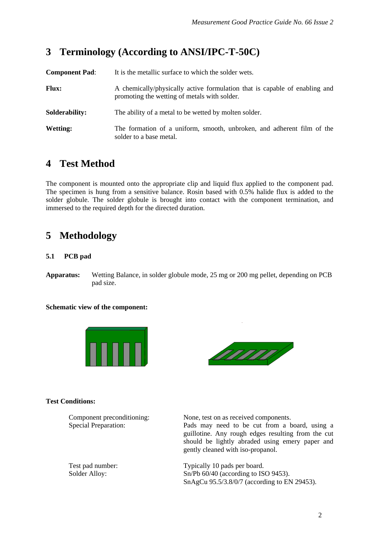# <span id="page-5-0"></span>**3 Terminology (According to ANSI/IPC-T-50C)**

| <b>Component Pad:</b> | It is the metallic surface to which the solder wets.                                                                       |
|-----------------------|----------------------------------------------------------------------------------------------------------------------------|
| <b>Flux:</b>          | A chemically/physically active formulation that is capable of enabling and<br>promoting the wetting of metals with solder. |
| Solderability:        | The ability of a metal to be wetted by molten solder.                                                                      |
| <b>Wetting:</b>       | The formation of a uniform, smooth, unbroken, and adherent film of the<br>solder to a base metal.                          |

# **4 Test Method**

The component is mounted onto the appropriate clip and liquid flux applied to the component pad. The specimen is hung from a sensitive balance. Rosin based with 0.5% halide flux is added to the solder globule. The solder globule is brought into contact with the component termination, and immersed to the required depth for the directed duration.

# **5 Methodology**

### **5.1 PCB pad**

**Apparatus:** Wetting Balance, in solder globule mode, 25 mg or 200 mg pellet, depending on PCB pad size.

#### **Schematic view of the component:**





#### **Test Conditions:**

Component preconditioning:None, test on as received components.

Special Preparation: Pads may need to be cut from a board, using a guillotine. Any rough edges resulting from the cut should be lightly abraded using emery paper and gently cleaned with iso-propanol.

Test pad number: Typically 10 pads per board. Solder Alloy: Sn/Pb 60/40 (according to ISO 9453). SnAgCu 95.5/3.8/0/7 (according to EN 29453).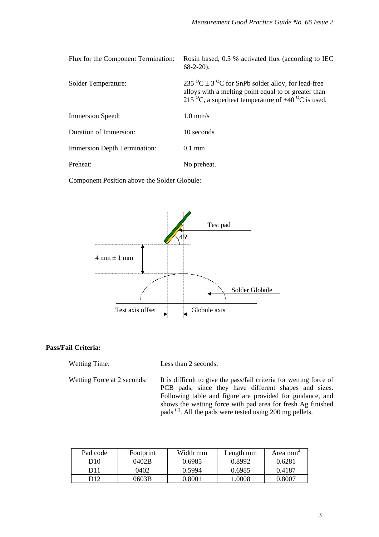| Flux for the Component Termination: | Rosin based, 0.5 % activated flux (according to IEC<br>$68-2-20$ ).                                                                                                                                         |
|-------------------------------------|-------------------------------------------------------------------------------------------------------------------------------------------------------------------------------------------------------------|
| Solder Temperature:                 | 235 $^{\circ}$ C ± 3 $^{\circ}$ C for SnPb solder alloy, for lead-free<br>alloys with a melting point equal to or greater than<br>215 <sup>o</sup> C, a superheat temperature of $+40\,^{\circ}$ C is used. |
| <b>Immersion Speed:</b>             | $1.0$ mm/s                                                                                                                                                                                                  |
| Duration of Immersion:              | 10 seconds                                                                                                                                                                                                  |
| <b>Immersion Depth Termination:</b> | $0.1 \text{ mm}$                                                                                                                                                                                            |
| Preheat:                            | No preheat.                                                                                                                                                                                                 |

Component Position above the Solder Globule:



#### **Pass/Fail Criteria:**

| <b>Wetting Time:</b> | Less than 2 seconds. |
|----------------------|----------------------|
|----------------------|----------------------|

Wetting Force at 2 seconds: It is difficult to give the pass/fail criteria for wetting force of PCB pads, since they have different shapes and sizes. Following table and figure are provided for guidance, and shows the wetting force with pad area for fresh Ag finished pads<sup>(2)</sup>. All the pads were tested using 200 mg pellets.

| Pad code        | <b>Footprint</b> | Width mm | Length mm | Area mm <sup>-</sup> |
|-----------------|------------------|----------|-----------|----------------------|
| D <sub>10</sub> | 0402B            | 0.6985   | 0.8992    | 0.6281               |
| D11             | 0402             | 0.5994   | 0.6985    | 0.4187               |
| D12             | 0603B            | 0.8001   | 1.0008    | 0.8007               |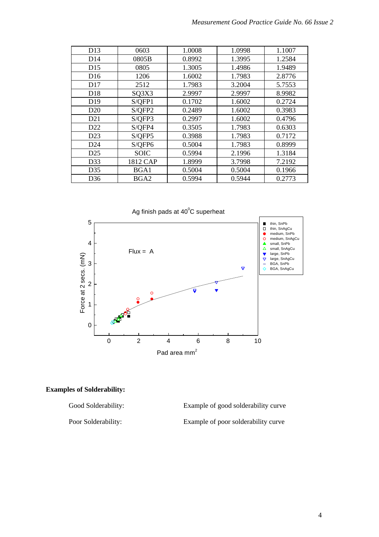| D13             | 0603        | 1.0008 | 1.0998 | 1.1007 |
|-----------------|-------------|--------|--------|--------|
| D <sub>14</sub> | 0805B       | 0.8992 | 1.3995 | 1.2584 |
| D15             | 0805        | 1.3005 | 1.4986 | 1.9489 |
| D <sub>16</sub> | 1206        | 1.6002 | 1.7983 | 2.8776 |
| D17             | 2512        | 1.7983 | 3.2004 | 5.7553 |
| D18             | SQ3X3       | 2.9997 | 2.9997 | 8.9982 |
| D <sub>19</sub> | S/QFP1      | 0.1702 | 1.6002 | 0.2724 |
| D <sub>20</sub> | S/QFP2      | 0.2489 | 1.6002 | 0.3983 |
| D <sub>21</sub> | S/QFP3      | 0.2997 | 1.6002 | 0.4796 |
| D <sub>22</sub> | S/QFP4      | 0.3505 | 1.7983 | 0.6303 |
| D23             | S/OFP5      | 0.3988 | 1.7983 | 0.7172 |
| D24             | S/QFP6      | 0.5004 | 1.7983 | 0.8999 |
| D <sub>25</sub> | <b>SOIC</b> | 0.5994 | 2.1996 | 1.3184 |
| D33             | 1812 CAP    | 1.8999 | 3.7998 | 7.2192 |
| D35             | BGA1        | 0.5004 | 0.5004 | 0.1966 |
| D <sub>36</sub> | BGA2        | 0.5994 | 0.5944 | 0.2773 |



#### **Examples of Solderability:**

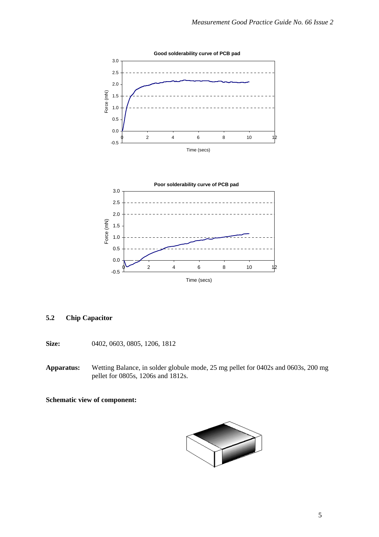<span id="page-8-0"></span>

#### **5.2 Chip Capacitor**

**Size:** 0402, 0603, 0805, 1206, 1812

**Apparatus:** Wetting Balance, in solder globule mode, 25 mg pellet for 0402s and 0603s, 200 mg pellet for 0805s, 1206s and 1812s.

**Schematic view of component:** 

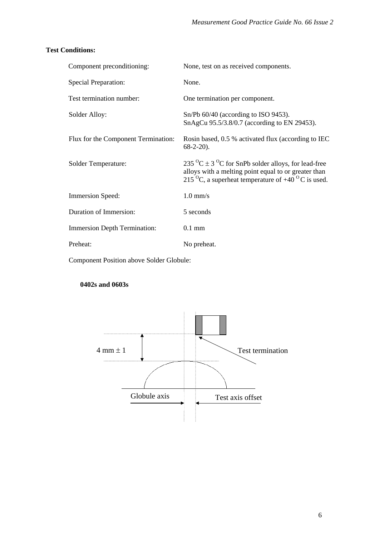## **Test Conditions:**

| Component preconditioning:          | None, test on as received components.                                                                                                                                                                                   |
|-------------------------------------|-------------------------------------------------------------------------------------------------------------------------------------------------------------------------------------------------------------------------|
| <b>Special Preparation:</b>         | None.                                                                                                                                                                                                                   |
| Test termination number:            | One termination per component.                                                                                                                                                                                          |
| Solder Alloy:                       | $Sn/Pb$ 60/40 (according to ISO 9453).<br>SnAgCu 95.5/3.8/0.7 (according to EN 29453).                                                                                                                                  |
| Flux for the Component Termination: | Rosin based, 0.5 % activated flux (according to IEC<br>$68-2-20$ ).                                                                                                                                                     |
| Solder Temperature:                 | 235 <sup>o</sup> C $\pm$ 3 <sup>o</sup> C for SnPb solder alloys, for lead-free<br>alloys with a melting point equal to or greater than<br>215 <sup>o</sup> C, a superheat temperature of $+40$ <sup>o</sup> C is used. |
| Immersion Speed:                    | $1.0$ mm/s                                                                                                                                                                                                              |
| Duration of Immersion:              | 5 seconds                                                                                                                                                                                                               |
| <b>Immersion Depth Termination:</b> | $0.1$ mm                                                                                                                                                                                                                |
| Preheat:                            | No preheat.                                                                                                                                                                                                             |
|                                     |                                                                                                                                                                                                                         |

Component Position above Solder Globule:

## **0402s and 0603s**

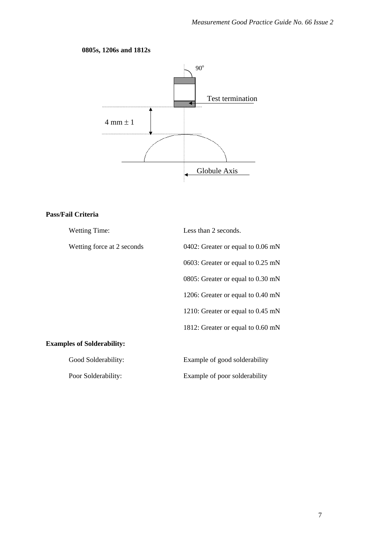# **0805s, 1206s and 1812s**



## **Pass/Fail Criteria**

| <b>Wetting Time:</b>              | Less than 2 seconds.              |
|-----------------------------------|-----------------------------------|
| Wetting force at 2 seconds        | 0402: Greater or equal to 0.06 mN |
|                                   | 0603: Greater or equal to 0.25 mN |
|                                   | 0805: Greater or equal to 0.30 mN |
|                                   | 1206: Greater or equal to 0.40 mN |
|                                   | 1210: Greater or equal to 0.45 mN |
|                                   | 1812: Greater or equal to 0.60 mN |
| <b>Examples of Solderability:</b> |                                   |
| Good Solderability:               | Example of good solderability     |
| Poor Solderability:               | Example of poor solderability     |
|                                   |                                   |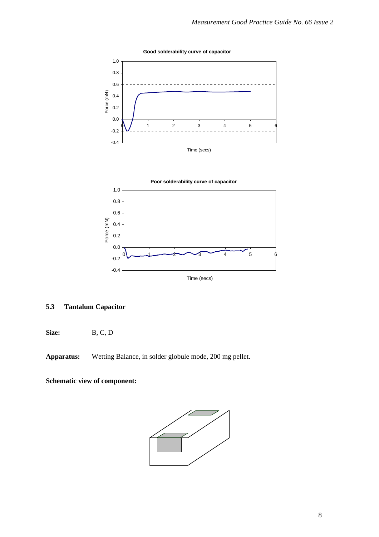<span id="page-11-0"></span>

Time (secs)

# **5.3 Tantalum Capacitor**

**Size:** B, C, D

**Apparatus:** Wetting Balance, in solder globule mode, 200 mg pellet.

**Schematic view of component:** 

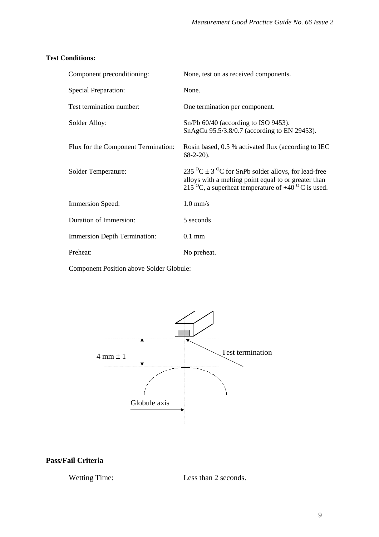#### **Test Conditions:**

| Component preconditioning:                                      | None, test on as received components.                                                                                                                                                                                   |
|-----------------------------------------------------------------|-------------------------------------------------------------------------------------------------------------------------------------------------------------------------------------------------------------------------|
| <b>Special Preparation:</b>                                     | None.                                                                                                                                                                                                                   |
| Test termination number:                                        | One termination per component.                                                                                                                                                                                          |
| Solder Alloy:                                                   | $Sn/Pb$ 60/40 (according to ISO 9453).<br>SnAgCu 95.5/3.8/0.7 (according to EN 29453).                                                                                                                                  |
| Flux for the Component Termination:                             | Rosin based, 0.5 % activated flux (according to IEC<br>$68-2-20$ ).                                                                                                                                                     |
| <b>Solder Temperature:</b>                                      | 235 <sup>o</sup> C $\pm$ 3 <sup>o</sup> C for SnPb solder alloys, for lead-free<br>alloys with a melting point equal to or greater than<br>215 <sup>o</sup> C, a superheat temperature of $+40$ <sup>o</sup> C is used. |
| Immersion Speed:                                                | $1.0$ mm/s                                                                                                                                                                                                              |
| Duration of Immersion:                                          | 5 seconds                                                                                                                                                                                                               |
| <b>Immersion Depth Termination:</b>                             | $0.1$ mm                                                                                                                                                                                                                |
| Preheat:                                                        | No preheat.                                                                                                                                                                                                             |
| $\alpha$ , $\alpha$ , $\alpha$ , $\alpha$ , $\alpha$ , $\alpha$ |                                                                                                                                                                                                                         |

Component Position above Solder Globule:



# **Pass/Fail Criteria**

Wetting Time: Less than 2 seconds.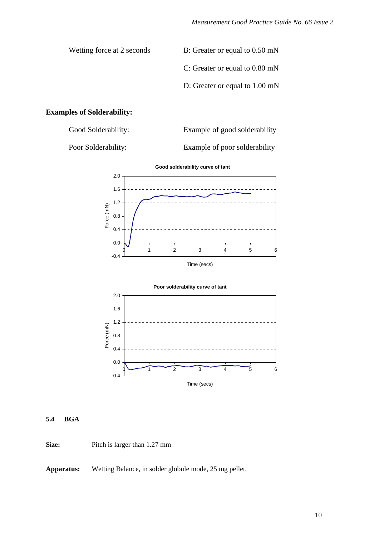<span id="page-13-0"></span>Wetting force at 2 seconds B: Greater or equal to 0.50 mN C: Greater or equal to 0.80 mN D: Greater or equal to 1.00 mN

#### **Examples of Solderability:**

Good Solderability: Example of good solderability

Poor Solderability: Example of poor solderability



Time (secs)



#### **5.4 BGA**

**Size:** Pitch is larger than 1.27 mm

**Apparatus:** Wetting Balance, in solder globule mode, 25 mg pellet.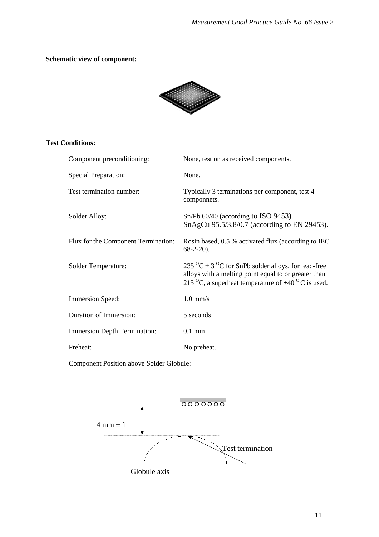### **Schematic view of component:**



#### **Test Conditions:**

| Component preconditioning:          | None, test on as received components.                                                                                                                                                                                   |
|-------------------------------------|-------------------------------------------------------------------------------------------------------------------------------------------------------------------------------------------------------------------------|
| <b>Special Preparation:</b>         | None.                                                                                                                                                                                                                   |
| Test termination number:            | Typically 3 terminations per component, test 4<br>componnets.                                                                                                                                                           |
| Solder Alloy:                       | $Sn/Pb$ 60/40 (according to ISO 9453).<br>SnAgCu 95.5/3.8/0.7 (according to EN 29453).                                                                                                                                  |
| Flux for the Component Termination: | Rosin based, 0.5 % activated flux (according to IEC<br>$68-2-20$ ).                                                                                                                                                     |
| <b>Solder Temperature:</b>          | 235 <sup>o</sup> C $\pm$ 3 <sup>o</sup> C for SnPb solder alloys, for lead-free<br>alloys with a melting point equal to or greater than<br>215 <sup>o</sup> C, a superheat temperature of $+40$ <sup>o</sup> C is used. |
| Immersion Speed:                    | $1.0$ mm/s                                                                                                                                                                                                              |
| Duration of Immersion:              | 5 seconds                                                                                                                                                                                                               |
| <b>Immersion Depth Termination:</b> | $0.1$ mm                                                                                                                                                                                                                |
| Preheat:                            | No preheat.                                                                                                                                                                                                             |

Component Position above Solder Globule:

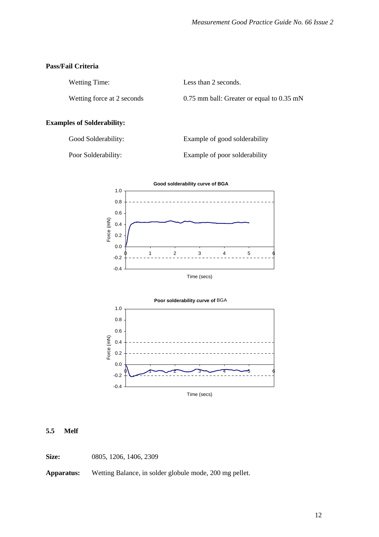#### <span id="page-15-0"></span>**Pass/Fail Criteria**

| Wetting Time:              | Less than 2 seconds.                          |
|----------------------------|-----------------------------------------------|
| Wetting force at 2 seconds | $0.75$ mm ball: Greater or equal to $0.35$ mN |

#### **Examples of Solderability:**

Good Solderability: Example of good solderability

Poor Solderability: Example of poor solderability



Time (secs)



#### **5.5 Melf**

**Size:** 0805, 1206, 1406, 2309

**Apparatus:** Wetting Balance, in solder globule mode, 200 mg pellet.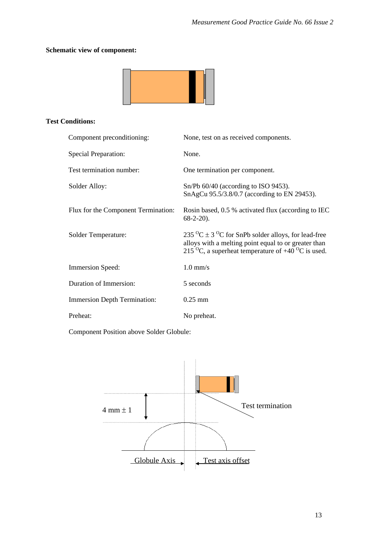# **Schematic view of component:**



#### **Test Conditions:**

| Component preconditioning:          | None, test on as received components.                                                                                                                                                                                |
|-------------------------------------|----------------------------------------------------------------------------------------------------------------------------------------------------------------------------------------------------------------------|
| <b>Special Preparation:</b>         | None.                                                                                                                                                                                                                |
| Test termination number:            | One termination per component.                                                                                                                                                                                       |
| Solder Alloy:                       | $Sn/Pb$ 60/40 (according to ISO 9453).<br>SnAgCu 95.5/3.8/0.7 (according to EN 29453).                                                                                                                               |
| Flux for the Component Termination: | Rosin based, 0.5 % activated flux (according to IEC<br>$68-2-20$ ).                                                                                                                                                  |
| Solder Temperature:                 | 235 <sup>o</sup> C $\pm$ 3 <sup>o</sup> C for SnPb solder alloys, for lead-free<br>alloys with a melting point equal to or greater than<br>215 <sup>o</sup> C, a superheat temperature of $+40\,^{\circ}$ C is used. |
| <b>Immersion Speed:</b>             | $1.0$ mm/s                                                                                                                                                                                                           |
| Duration of Immersion:              | 5 seconds                                                                                                                                                                                                            |
| <b>Immersion Depth Termination:</b> | $0.25$ mm                                                                                                                                                                                                            |
| Preheat:                            | No preheat.                                                                                                                                                                                                          |

Component Position above Solder Globule:

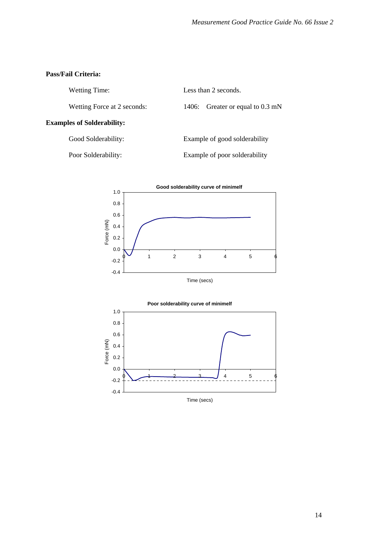#### **Pass/Fail Criteria:**

Wetting Time: Less than 2 seconds.

Wetting Force at 2 seconds: 1406: Greater or equal to 0.3 mN

#### **Examples of Solderability:**

Good Solderability: Example of good solderability

Poor Solderability: Example of poor solderability



Time (secs)

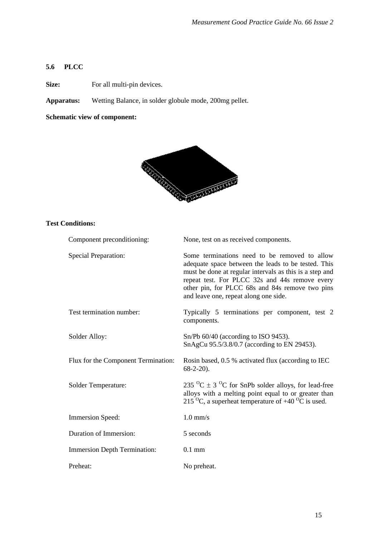# <span id="page-18-0"></span>**5.6 PLCC**

**Size:** For all multi-pin devices.

**Apparatus:** Wetting Balance, in solder globule mode, 200mg pellet.

#### **Schematic view of component:**



## **Test Conditions:**

| Component preconditioning:          | None, test on as received components.                                                                                                                                                                                                                                                                         |
|-------------------------------------|---------------------------------------------------------------------------------------------------------------------------------------------------------------------------------------------------------------------------------------------------------------------------------------------------------------|
| <b>Special Preparation:</b>         | Some terminations need to be removed to allow<br>adequate space between the leads to be tested. This<br>must be done at regular intervals as this is a step and<br>repeat test. For PLCC 32s and 44s remove every<br>other pin, for PLCC 68s and 84s remove two pins<br>and leave one, repeat along one side. |
| Test termination number:            | Typically 5 terminations per component, test 2<br>components.                                                                                                                                                                                                                                                 |
| Solder Alloy:                       | $Sn/Pb$ 60/40 (according to ISO 9453).<br>SnAgCu 95.5/3.8/0.7 (according to EN 29453).                                                                                                                                                                                                                        |
| Flux for the Component Termination: | Rosin based, 0.5 % activated flux (according to IEC<br>$68-2-20$ ).                                                                                                                                                                                                                                           |
| Solder Temperature:                 | 235 <sup>o</sup> C $\pm$ 3 <sup>o</sup> C for SnPb solder alloys, for lead-free<br>alloys with a melting point equal to or greater than<br>215 <sup>o</sup> C, a superheat temperature of $+40$ <sup>o</sup> C is used.                                                                                       |
| <b>Immersion Speed:</b>             | $1.0$ mm/s                                                                                                                                                                                                                                                                                                    |
| Duration of Immersion:              | 5 seconds                                                                                                                                                                                                                                                                                                     |
| <b>Immersion Depth Termination:</b> | $0.1$ mm                                                                                                                                                                                                                                                                                                      |
| Preheat:                            | No preheat.                                                                                                                                                                                                                                                                                                   |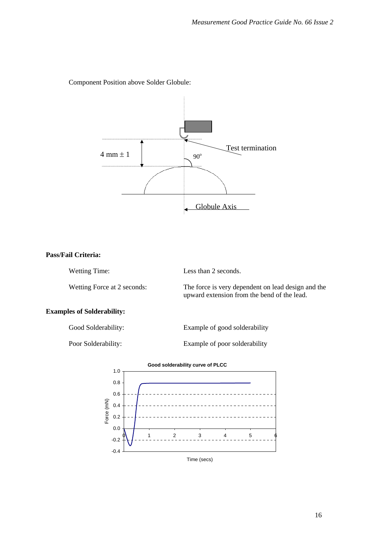

Component Position above Solder Globule:

### **Pass/Fail Criteria:**

Wetting Time: Less than 2 seconds. Wetting Force at 2 seconds: The force is very dependent on lead design and the

upward extension from the bend of the lead.

# **Examples of Solderability:**

| Good Solderability: | Example of good solderability |
|---------------------|-------------------------------|
| Poor Solderability: | Example of poor solderability |

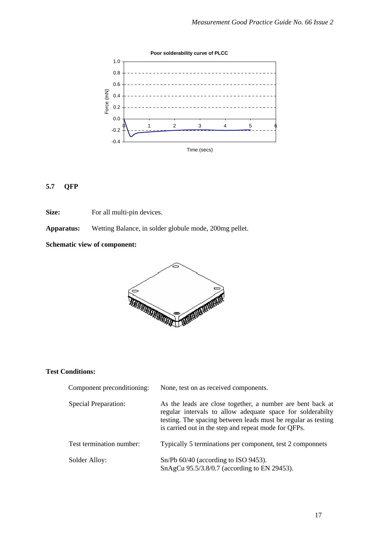<span id="page-20-0"></span>

#### **5.7 QFP**

**Size:** For all multi-pin devices.

**Apparatus:** Wetting Balance, in solder globule mode, 200mg pellet.

## **Schematic view of component:**



## **Test Conditions:**

| Component preconditioning:  | None, test on as received components.                                                                                                                                                                                                             |
|-----------------------------|---------------------------------------------------------------------------------------------------------------------------------------------------------------------------------------------------------------------------------------------------|
| <b>Special Preparation:</b> | As the leads are close together, a number are bent back at<br>regular intervals to allow adequate space for solderabilty<br>testing. The spacing between leads must be regular as testing<br>is carried out in the step and repeat mode for QFPs. |
| Test termination number:    | Typically 5 terminations per component, test 2 componnets                                                                                                                                                                                         |
| Solder Alloy:               | $Sn/Pb$ 60/40 (according to ISO 9453).<br>SnAgCu 95.5/3.8/0.7 (according to EN 29453).                                                                                                                                                            |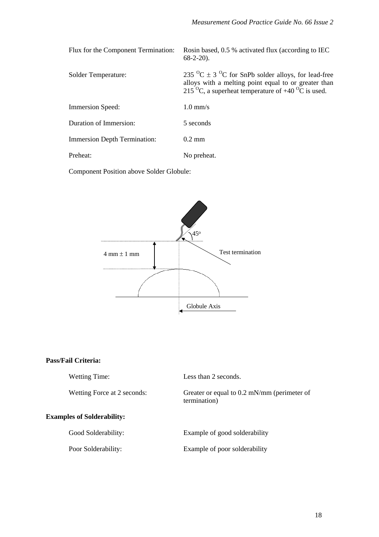| Flux for the Component Termination: | Rosin based, 0.5 % activated flux (according to IEC<br>$68-2-20$ ).                                                                                                                                                  |
|-------------------------------------|----------------------------------------------------------------------------------------------------------------------------------------------------------------------------------------------------------------------|
| Solder Temperature:                 | 235 <sup>o</sup> C $\pm$ 3 <sup>o</sup> C for SnPb solder alloys, for lead-free<br>alloys with a melting point equal to or greater than<br>215 <sup>o</sup> C, a superheat temperature of $+40\,^{\circ}$ C is used. |
| <b>Immersion Speed:</b>             | $1.0$ mm/s                                                                                                                                                                                                           |
| Duration of Immersion:              | 5 seconds                                                                                                                                                                                                            |
| <b>Immersion Depth Termination:</b> | $0.2 \text{ mm}$                                                                                                                                                                                                     |
| Preheat:                            | No preheat.                                                                                                                                                                                                          |

Component Position above Solder Globule:



#### **Pass/Fail Criteria:**

| <b>Wetting Time:</b>              | Less than 2 seconds.                                          |
|-----------------------------------|---------------------------------------------------------------|
| Wetting Force at 2 seconds:       | Greater or equal to $0.2$ mN/mm (perimeter of<br>termination) |
| <b>Examples of Solderability:</b> |                                                               |
| Good Solderability:               | Example of good solderability                                 |
| Poor Solderability:               | Example of poor solderability                                 |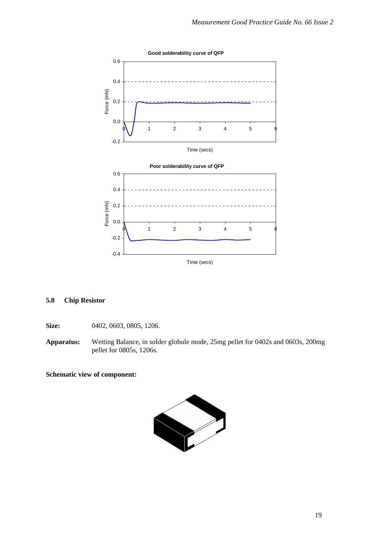<span id="page-22-0"></span>

#### **5.8 Chip Resistor**

**Size:** 0402, 0603, 0805, 1206.

**Apparatus:** Wetting Balance, in solder globule mode, 25mg pellet for 0402s and 0603s, 200mg pellet for 0805s, 1206s.

#### **Schematic view of component:**

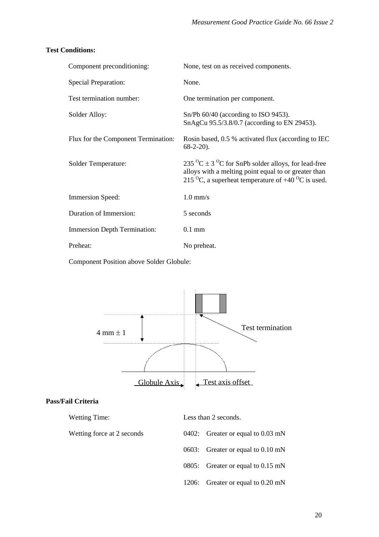#### **Test Conditions:**

| Component preconditioning:          | None, test on as received components.                                                                                                                                                                           |
|-------------------------------------|-----------------------------------------------------------------------------------------------------------------------------------------------------------------------------------------------------------------|
| <b>Special Preparation:</b>         | None.                                                                                                                                                                                                           |
| Test termination number:            | One termination per component.                                                                                                                                                                                  |
| Solder Alloy:                       | Sn/Pb 60/40 (according to ISO 9453).<br>SnAgCu 95.5/3.8/0.7 (according to EN 29453).                                                                                                                            |
| Flux for the Component Termination: | Rosin based, 0.5 % activated flux (according to IEC<br>$68-2-20$ ).                                                                                                                                             |
| Solder Temperature:                 | 235 $^{\circ}$ C ± 3 $^{\circ}$ C for SnPb solder alloys, for lead-free<br>alloys with a melting point equal to or greater than<br>215 <sup>o</sup> C, a superheat temperature of $+40$ <sup>o</sup> C is used. |
| Immersion Speed:                    | $1.0 \text{ mm/s}$                                                                                                                                                                                              |
| Duration of Immersion:              | 5 seconds                                                                                                                                                                                                       |
| <b>Immersion Depth Termination:</b> | $0.1$ mm                                                                                                                                                                                                        |
| Preheat:                            | No preheat.                                                                                                                                                                                                     |

Component Position above Solder Globule:



#### **Pass/Fail Criteria**

| <b>Wetting Time:</b>       | Less than 2 seconds.              |
|----------------------------|-----------------------------------|
| Wetting force at 2 seconds | 0402: Greater or equal to 0.03 mN |
|                            | 0603: Greater or equal to 0.10 mN |
|                            | 0805: Greater or equal to 0.15 mN |
|                            | 1206: Greater or equal to 0.20 mN |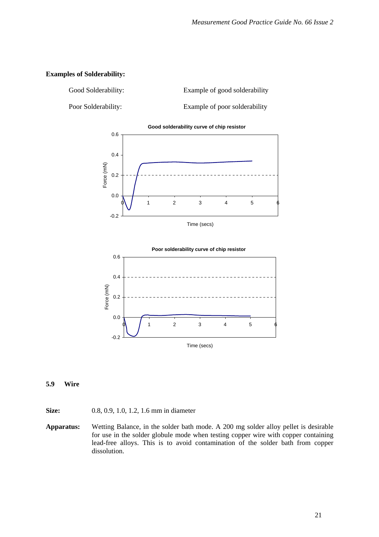#### <span id="page-24-0"></span>**Examples of Solderability:**

Good Solderability: Example of good solderability Poor Solderability: Example of poor solderability





#### **5.9 Wire**

- **Size:** 0.8, 0.9, 1.0, 1.2, 1.6 mm in diameter
- **Apparatus:** Wetting Balance, in the solder bath mode. A 200 mg solder alloy pellet is desirable for use in the solder globule mode when testing copper wire with copper containing lead-free alloys. This is to avoid contamination of the solder bath from copper dissolution.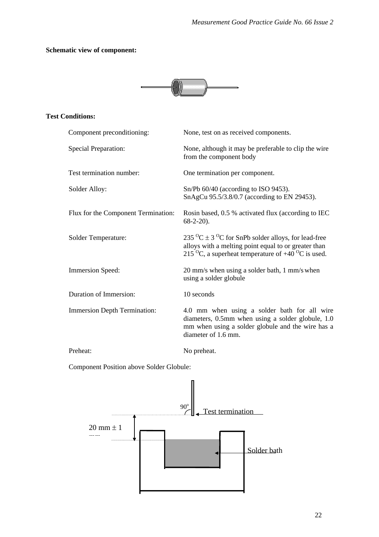# **Schematic view of component:**



## **Test Conditions:**

| Component preconditioning:          | None, test on as received components.                                                                                                                                                                           |
|-------------------------------------|-----------------------------------------------------------------------------------------------------------------------------------------------------------------------------------------------------------------|
| <b>Special Preparation:</b>         | None, although it may be preferable to clip the wire<br>from the component body                                                                                                                                 |
| Test termination number:            | One termination per component.                                                                                                                                                                                  |
| Solder Alloy:                       | $Sn/Pb$ 60/40 (according to ISO 9453).<br>SnAgCu 95.5/3.8/0.7 (according to EN 29453).                                                                                                                          |
| Flux for the Component Termination: | Rosin based, 0.5 % activated flux (according to IEC<br>$68-2-20$ ).                                                                                                                                             |
| Solder Temperature:                 | 235 $^{\circ}$ C ± 3 $^{\circ}$ C for SnPb solder alloys, for lead-free<br>alloys with a melting point equal to or greater than<br>215 <sup>o</sup> C, a superheat temperature of $+40$ <sup>o</sup> C is used. |
| <b>Immersion Speed:</b>             | 20 mm/s when using a solder bath, 1 mm/s when<br>using a solder globule                                                                                                                                         |
| Duration of Immersion:              | 10 seconds                                                                                                                                                                                                      |
| <b>Immersion Depth Termination:</b> | 4.0 mm when using a solder bath for all wire<br>diameters, 0.5mm when using a solder globule, 1.0<br>mm when using a solder globule and the wire has a<br>diameter of 1.6 mm.                                   |
| Preheat:                            | No preheat.                                                                                                                                                                                                     |

Component Position above Solder Globule:

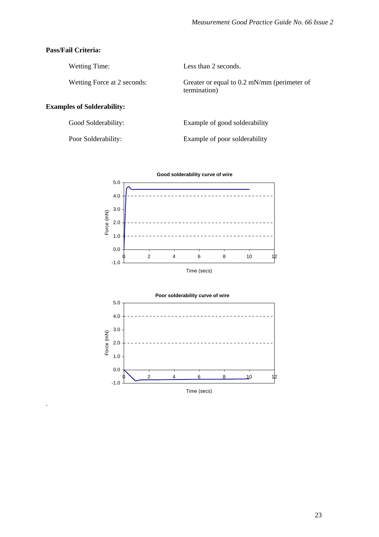#### **Pass/Fail Criteria:**

.

| Wetting Time:                     | Less than 2 seconds.                                          |
|-----------------------------------|---------------------------------------------------------------|
| Wetting Force at 2 seconds:       | Greater or equal to $0.2$ mN/mm (perimeter of<br>termination) |
| <b>Examples of Solderability:</b> |                                                               |

| Good Solderability: | Example of good solderability |
|---------------------|-------------------------------|
| Poor Solderability: | Example of poor solderability |



Time (secs)

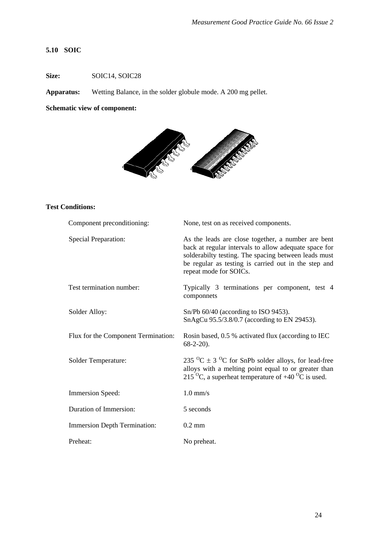#### <span id="page-27-0"></span>**5.10 SOIC**

**Size: SOIC14, SOIC28** 

**Apparatus:** Wetting Balance, in the solder globule mode. A 200 mg pellet.

### **Schematic view of component:**



## **Test Conditions:**

| Component preconditioning:          | None, test on as received components.                                                                                                                                                                                                                 |
|-------------------------------------|-------------------------------------------------------------------------------------------------------------------------------------------------------------------------------------------------------------------------------------------------------|
| <b>Special Preparation:</b>         | As the leads are close together, a number are bent<br>back at regular intervals to allow adequate space for<br>solderabilty testing. The spacing between leads must<br>be regular as testing is carried out in the step and<br>repeat mode for SOICs. |
| Test termination number:            | Typically 3 terminations per component, test 4<br>componnets                                                                                                                                                                                          |
| Solder Alloy:                       | $Sn/Pb$ 60/40 (according to ISO 9453).<br>SnAgCu 95.5/3.8/0.7 (according to EN 29453).                                                                                                                                                                |
| Flux for the Component Termination: | Rosin based, 0.5 % activated flux (according to IEC<br>$68-2-20$ ).                                                                                                                                                                                   |
| Solder Temperature:                 | 235 <sup>o</sup> C $\pm$ 3 <sup>o</sup> C for SnPb solder alloys, for lead-free<br>alloys with a melting point equal to or greater than<br>215 <sup>o</sup> C, a superheat temperature of $+40$ <sup>o</sup> C is used.                               |
| <b>Immersion Speed:</b>             | $1.0$ mm/s                                                                                                                                                                                                                                            |
| Duration of Immersion:              | 5 seconds                                                                                                                                                                                                                                             |
| <b>Immersion Depth Termination:</b> | $0.2$ mm                                                                                                                                                                                                                                              |
| Preheat:                            | No preheat.                                                                                                                                                                                                                                           |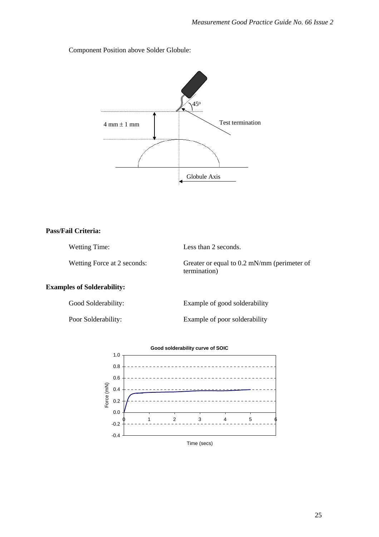Component Position above Solder Globule:



#### **Pass/Fail Criteria:**

Wetting Time: Less than 2 seconds. Wetting Force at 2 seconds: Greater or equal to 0.2 mN/mm (perimeter of termination)

#### **Examples of Solderability:**

Good Solderability: Example of good solderability

Poor Solderability: Example of poor solderability

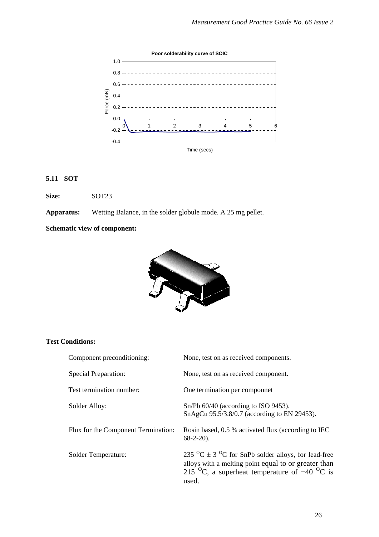<span id="page-29-0"></span>

## **5.11 SOT**

**Size:** SOT23

**Apparatus:** Wetting Balance, in the solder globule mode. A 25 mg pellet.

**Schematic view of component:** 



#### **Test Conditions:**

| Component preconditioning:          | None, test on as received components.                                                                                                                                                                                      |
|-------------------------------------|----------------------------------------------------------------------------------------------------------------------------------------------------------------------------------------------------------------------------|
| Special Preparation:                | None, test on as received component.                                                                                                                                                                                       |
| Test termination number:            | One termination per componnet                                                                                                                                                                                              |
| Solder Alloy:                       | $Sn/Pb$ 60/40 (according to ISO 9453).<br>SnAgCu 95.5/3.8/0.7 (according to EN 29453).                                                                                                                                     |
| Flux for the Component Termination: | Rosin based, 0.5 % activated flux (according to IEC<br>$68-2-20$ ).                                                                                                                                                        |
| Solder Temperature:                 | 235 <sup>o</sup> C $\pm$ 3 <sup>o</sup> C for SnPb solder alloys, for lead-free<br>alloys with a melting point equal to or greater than<br>215 <sup>o</sup> C, a superheat temperature of $+40$ <sup>o</sup> C is<br>used. |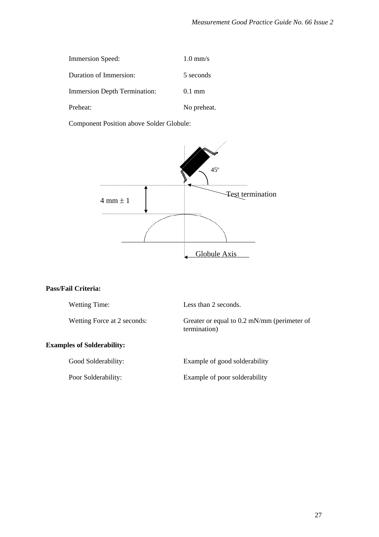| <b>Immersion Speed:</b>             | $1.0 \text{ mm/s}$ |
|-------------------------------------|--------------------|
| Duration of Immersion:              | 5 seconds          |
| <b>Immersion Depth Termination:</b> | $0.1 \text{ mm}$   |
| Preheat:                            | No preheat.        |

Component Position above Solder Globule:



#### **Pass/Fail Criteria:**

| <b>Wetting Time:</b>              | Less than 2 seconds.                                        |
|-----------------------------------|-------------------------------------------------------------|
| Wetting Force at 2 seconds:       | Greater or equal to 0.2 mN/mm (perimeter of<br>termination) |
| <b>Examples of Solderability:</b> |                                                             |
| Good Solderability:               | Example of good solderability                               |
| Poor Solderability:               | Example of poor solderability                               |
|                                   |                                                             |